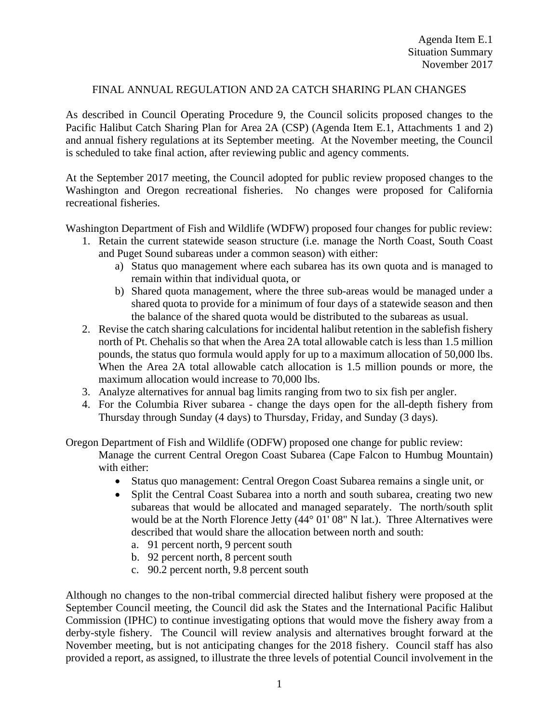## FINAL ANNUAL REGULATION AND 2A CATCH SHARING PLAN CHANGES

As described in Council Operating Procedure 9, the Council solicits proposed changes to the Pacific Halibut Catch Sharing Plan for Area 2A (CSP) (Agenda Item E.1, Attachments 1 and 2) and annual fishery regulations at its September meeting. At the November meeting, the Council is scheduled to take final action, after reviewing public and agency comments.

At the September 2017 meeting, the Council adopted for public review proposed changes to the Washington and Oregon recreational fisheries. No changes were proposed for California recreational fisheries.

Washington Department of Fish and Wildlife (WDFW) proposed four changes for public review:

- 1. Retain the current statewide season structure (i.e. manage the North Coast, South Coast and Puget Sound subareas under a common season) with either:
	- a) Status quo management where each subarea has its own quota and is managed to remain within that individual quota, or
	- b) Shared quota management, where the three sub-areas would be managed under a shared quota to provide for a minimum of four days of a statewide season and then the balance of the shared quota would be distributed to the subareas as usual.
- 2. Revise the catch sharing calculations for incidental halibut retention in the sablefish fishery north of Pt. Chehalis so that when the Area 2A total allowable catch is less than 1.5 million pounds, the status quo formula would apply for up to a maximum allocation of 50,000 lbs. When the Area 2A total allowable catch allocation is 1.5 million pounds or more, the maximum allocation would increase to 70,000 lbs.
- 3. Analyze alternatives for annual bag limits ranging from two to six fish per angler.
- 4. For the Columbia River subarea change the days open for the all-depth fishery from Thursday through Sunday (4 days) to Thursday, Friday, and Sunday (3 days).

Oregon Department of Fish and Wildlife (ODFW) proposed one change for public review: Manage the current Central Oregon Coast Subarea (Cape Falcon to Humbug Mountain) with either:

- Status quo management: Central Oregon Coast Subarea remains a single unit, or
- Split the Central Coast Subarea into a north and south subarea, creating two new subareas that would be allocated and managed separately. The north/south split would be at the North Florence Jetty (44° 01' 08" N lat.). Three Alternatives were described that would share the allocation between north and south:
	- a. 91 percent north, 9 percent south
	- b. 92 percent north, 8 percent south
	- c. 90.2 percent north, 9.8 percent south

Although no changes to the non-tribal commercial directed halibut fishery were proposed at the September Council meeting, the Council did ask the States and the International Pacific Halibut Commission (IPHC) to continue investigating options that would move the fishery away from a derby-style fishery. The Council will review analysis and alternatives brought forward at the November meeting, but is not anticipating changes for the 2018 fishery. Council staff has also provided a report, as assigned, to illustrate the three levels of potential Council involvement in the